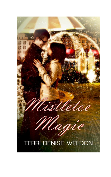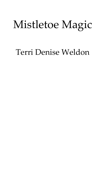# Mistletoe Magic

# Terri Denise Weldon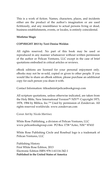This is a work of fiction. Names, characters, places, and incidents either are the product of the author's imagination or are used fictitiously, and any resemblance to actual persons living or dead, business establishments, events, or locales, is entirely coincidental.

#### **Mistletoe Magic**

#### **COPYRIGHT 2013 by Terri Denise Weldon**

All rights reserved. No part of this book may be used or reproduced in any manner whatsoever without written permission of the author or Pelican Ventures, LLC except in the case of brief quotations embodied in critical articles or reviews.

eBook editions are licensed for your personal enjoyment only. eBooks may not be re-sold, copied or given to other people. If you would like to share an eBook edition, please purchase an additional copy for each person you share it with.

Contact Information: titleadmin@pelicanbookgroup.com

All scripture quotations, unless otherwise indicated, are taken from the Holy Bible, New International Version<sup>(R),</sup> NIV<sup>(R),</sup> Copyright 1973, 1978, 1984 by Biblica, Inc.<sup>™</sup> Used by permission of Zondervan. All rights reserved worldwide. www.zondervan.com

Cover Art by *Nicola Martinez*

White Rose Publishing, a division of Pelican Ventures, LLC [www.pelicanbookgroup.com](http://www.pelicanbookgroup.com/) PO Box 1738 \*Aztec, NM \* 87410

White Rose Publishing Circle and Rosebud logo is a trademark of Pelican Ventures, LLC

Publishing History First White Rose Edition, 2013 Electronic Edition ISBN 978-1-61116-342-1 **Published in the United States of America**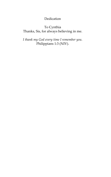# Dedication

## To Cynthia Thanks, Sis, for always believing in me.

*I thank my God every time I remember you.*  Philippians 1:3 (NIV).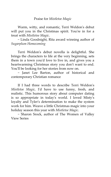### Praise for *Mistletoe Magic*

Warm, witty, and romantic, Terri Weldon's debut will put you in the Christmas spirit. You're in for a treat with *Mistletoe Magic*.

~ Linda Goodnight, Rita award winning author of *Sugarplum Homecoming*

Terri Weldon's debut novella is delightful. She brings the characters to life at the very beginning, sets them in a town you'd love to live in, and gives you a heartwarming Christmas story you don't want to end. You'll be looking for her stories from now on.

~ Janet Lee Barton, author of historical and contemporary Christian romance

If I had three words to describe Terri Weldon's *Mistletoe Magic,* I'd have to use funny, fresh, and realistic. This humorous story about computer dating is so appropriate in today's world. I loved Misty's loyalty and Tyler's determination to make the system work for him. Weave a little Christmas magic into your holiday season this year with *Mistletoe Magic*.

~ Sharon Srock, author of The Women of Valley View Series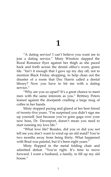# **1**

'A dating service! I can't believe you want me to join a dating service.' Misty Winslow slapped the Rural Romance flyer against her thigh as she paced back and forth across the dental office's worn, green tile. 'Isn't it enough that I gave up my day off, not to mention Black Friday shopping, to help clean out the disaster of a room that Doc Harris called a dental library? Now you have to hit me with a dating service.'

'Why are you so upset? It's a great chance to meet men with the same interests as you.' Brittney Peters leaned against the doorjamb cradling a large mug of coffee in her hands.

Misty stopped pacing and glared at her best friend of twenty-five years. 'I'm surprised you didn't sign me up yourself. Just because you've gone gaga over your new boss, Dr. Davenport, doesn't mean you need to start running my love life.'

'What love life? Besides, did you or did you not tell me you don't want to wind up an old maid? You're two months away from being thirty. What happened with Brad was painful, but it's been eight years."

Misty flopped in the metal folding chair and admitted defeat. 'You're right. It's time to move forward. I want a husband, a family, to fill up my old  $h$ <sub>Ouse</sub> $''$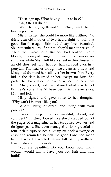'Then sign up. What have you got to lose?'

'OK, OK. I'll do it.'

'Way to go, girlfriend.' Brittney sent her a beaming smile.

Misty wished she could be more like Brittney. No thirty-year-old mother of two had a right to look that good. But then again Britt had always been beautiful. She remembered the first time they'd met at preschool when they were four. Brittney had looked like a blonde, blue-eyed angel in her pink seersucker sundress while Misty felt like a street urchin dressed in an old short set with her red hair scraped back in a ponytail. The teacher brought ice cream as a treat and Misty had dumped hers all over her brown shirt. Every kid in the class laughed at her, except for Britt. She patted her back after the teacher wiped the ice cream from Misty's shirt, and they shared what was left of Brittney's cone. They'd been best friends ever since, Mutt and Jeff.

Misty sighed and gave voice to her thoughts. 'Why can't I be more like you?'

'What? Thirty, divorced, and living with your parents?'

'I was thinking more like beautiful, vibrant, and confident.' Brittney looked like she'd stepped out of the pages of a magazine in her turquoise sweater and designer jeans. She even managed to look graceful in four-inch turquoise heels. Misty bit back a twinge of envy and reminded herself the good Lord had made her the way He wanted her—a tall, skinny redhead. Even if she didn't understand.

'You are beautiful. Do you know how many women would kill to have your red hair and lithe build?'

2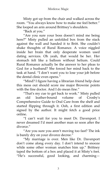### Mistletoe Magic

Misty got up from the chair and walked across the room. 'You always know how to make me feel better.' She looped an arm around Brittney's shoulders.

'Back at you.'

'Are you sure your boss doesn't mind me being here?' Misty pulled an unfolded box from the stack against the wall and handed it to Britt. She couldn't shake thoughts of Rural Romance. A voice niggled inside her brain that only desperate women used dating services. Oh yeah, that would be her. Her stomach felt like a balloon without helium. Could Rural Romance actually be the answer to her pleas to God for a husband? She forced her mind back to the task at hand. 'I don't want you to lose your job before the dental clinic even opens.'

'Mind? I figure having a librarian friend help clear this mess out should score me major Brownie points with the fine doctor. And I do mean fine."

'That's my cue to get back to work.' Misty pulled an old leather-bound volume of Crosby's Comprehensive Guide to Oral Care from the shelf and started flipping through it. Ooh, a first edition and signed by the author. It might fetch a good price online.

'I can't wait for you to meet Dr. Davenport. I never dreamed I'd meet another man so soon after the divorce"

'Are you sure you aren't moving too fast? The ink is barely dry on your divorce decree."

'My marriage is over. Men like Dr. Davenport don't come along every day. I don't intend to snooze while some other woman snatches him up." Brittney taped the bottom of a box and placed it at Misty's feet. 'He's successful, good looking, and charming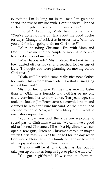everything I'm looking for in the man I'm going to spend the rest of my life with. I can't believe I landed such a plum job. I'll be around him every day."

'Enough.' Laughing, Misty held up her hand. 'You've done nothing but talk about the good doctor for days. Change of subject is in order here. What are you and the kids going to do for Christmas?'

'We're spending Christmas Eve with Mom and Dad. It'll take me another couple of months to be able to afford a place of my own.'

'What happened?' Misty placed the book in the box, dusted off her hands, and reached for her cup of java. 'I thought you were planning on moving before Christmas.'

'Yeah, well I needed some really nice new clothes for work. This is more than a job. It's a shot at snagging a great husband.'

Misty bit her tongue. Brittney was moving faster than an Oklahoma tornado and nothing or no one could convince her to slow down. Ten years ago, she took one look at Jon Peters across a crowded room and claimed he was her future husband. At the time it had seemed romantic. Now, well now Misty didn't want to see history repeat itself.

'You know you and the kids are welcome to spend part of Christmas with me. We can have a good old-fashioned Christmas. I'll cook a big dinner, we can open a few gifts, listen to Christmas carols or maybe watch Christmas DVDs." She longed for the day when God would bless her with a family of her own to share all the joy and wonder of Christmas with.

'The kids will be at Jon's Christmas day, but I'll take you up on that as long as I get to pick the movie."

'You got it, girlfriend. Now come on, show me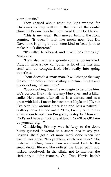your domain.'

They chatted about what the kids wanted for Christmas as they walked to the front of the dental clinic Britt's new boss had purchased from Doc Harris.

'This is my area.' Britt moved behind the front counter. 'It doesn't look like much now, but Dr. Davenport is going to add some kind of bead junk to make it look different."

'It's called beadboard, and it will look fantastic,' Misty said.

'He's also having a granite countertop installed. Plus, I'll have a new computer. A lot of the files and stuff will be computerized. He's really into going paperless.'

'Your doctor's a smart man. It will change the way the counter looks without costing a fortune. Frugal and good-looking, tell me more.'

'Good-looking doesn't even begin to describe him. He's perfect. Dark hair, dreamy blue eyes, and a killer smile. He's smart, after all he is a dentist, and he's great with kids. I mean he hasn't met Kayla and JD, but I've seen him around other kids and he's a natural." Brittney looked at her watch. 'Hey, I really need to run a few errands and then I'm going to stop by Mom and Dad's and have a quick bite of lunch. You'll be OK here by yourself, right?'

Considering Brittney was halfway to the door, Misty guessed it would be a smart idea to say yes. Besides, she'd get a lot more work done when her friend was gone. 'No problem, catch you later.' She watched Brittney leave then wandered back to the small dental library. She noticed the faded paint and nicked woodwork in the clinic, not to mention the sixties-style light fixtures. Old Doc Harris hadn't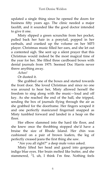updated a single thing since he opened the doors for business fifty years ago. The clinic needed a major facelift, and it sounded like the good doctor intended to give it one.

Misty slipped a green scrunchie from her pocket, pulled back her hair in a ponytail, popped in her earbuds, and cranked up the volume on her MP3 player. Christmas music filled her ears, and she let out a contented sigh. She sent up a silent prayer that this Christmas would indeed be the most magical time of the year for her. She filled three cardboard boxes with dental journals from 1975. Seemed Doc Harris never threw anything away.

*Achoo!* 

Or dusted it.

She grabbed one of the boxes and started towards the front door. She loved Christmas and since no one was around to hear her, Misty allowed herself the freedom to sing along with the music—loud and off key. As she reached the end of the hall, she tripped, sending the box of journals flying through the air as she grabbed for the doorframe. Her fingers scraped it and one perfectly manicured fingernail snapped as Misty tumbled forward and landed in a heap on the floor.

Her elbow slammed into the hard tile floor, and she knew once the throbbing stopped she'd have a bruise the size of Rhode Island. Her chin was cushioned on a pair of brown loafers, the leg of perfectly creased jeans the first thing she saw.

"Are you all right?" a deep male voice asked.

Misty lifted her head and gazed into gorgeous indigo blue eyes. Her brain melted like butter, and she stammered, 'I, uh, I think I'm fine. Nothing feels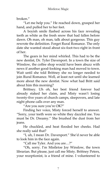broken.'

'Let me help you.' He reached down, grasped her hand, and pulled her to her feet.

A boyish smile flashed across his face revealing teeth as white as the fresh snow that had fallen before dawn. Oh man, oh man, talk about gorgeous. This guy rewrote the definition. Forget Rural Romance. The only date she wanted stood about six-foot-two right in front of her.

The gears in her mind whirled. This had to be the new dentist, Dr. Tyler Davenport. In a town the size of Winslow, the coffee shop would have been abuzz with news if another good-looking man had moved to town. Wait until she told Brittney she no longer needed to join Rural Romance. Well, at least not until she learned more about the new dentist. Now what had Britt said about him this morning?

Brittney. Uh oh, her best friend forever had already staked her claim, and Misty wasn't losing twenty-five years of church camps, sleepovers, and late night phone calls over any man.

'Are you sure you're OK?'

Finding her voice, Misty forced herself to answer. 'Sorry, your teeth were so white they dazzled me. You must be Dr. Dreamy.' She brushed the dust from her jeans.

He chuckled, and heat flooded her cheeks. Had she really said that?

'I, uh, I mean Dr. Davenport.' She'd never be able to look him in the face again.

'Call me Tyler. And you are…?'

'Oh, sorry. I'm Mistletoe Joy Winslow, the town librarian. But please, just call me Misty. Brittney Peters, your receptionist, is a friend of mine. I volunteered to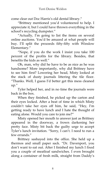come clear out Doc Harris's old dental library.'

'Brittney mentioned you'd volunteered to help. I appreciate it, but I could have thrown everything in the school's recycling dumpster.'

'Actually, I'm going to list the items on several online auctions. You'd be amazed at what people will buy. I'll split the proceeds fifty-fifty with Winslow Elementary.'

'Nope, if you do the work I insist you take 100 percent of the profits for the library. Besides, that **benefits the kids as well**"

Oh, man, why did he have to be as nice as he was handsome? More importantly, why did Brittney have to see him first? Lowering her head, Misty looked at the stack of dusty journals littering the tile floor. 'Thanks. Well, I guess I'd better get this mess cleaned up.'

Tyler helped her, and in no time the journals were back in the box.

When they finished, he picked up the carton and their eyes locked. After a beat of time in which Misty couldn't take her eyes off him, he said, 'Hey, I'm getting ready to have lunch and I hate the thought of eating alone. Would you care to join me?'

Misty opened her mouth to answer just as Brittney appeared in the doorway, a frown darkening her pretty face. Misty bit back the guilty urge to accept Tyler's lunch invitation. 'Sorry, I can't. I need to run a few errands"

Brittney sashayed into the office. She held up a thermos and small paper sack. 'Dr. Davenport, you don't want to eat out. After I finished my lunch I fixed you a couple of meatloaf sandwiches. I even brought along a container of fresh milk, straight from Daddy's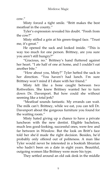$\cos$ "

Misty forced a tight smile. 'Britt makes the best meatloaf in the county.'

Tyler's expression revealed his doubt. 'Fresh from the cow?'

Misty stifled a grin at his green-tinged face. 'Trust me, it's great.'

He opened the sack and looked inside. 'This is way too much for one person. Brittney, are you sure you aren't still hungry?'

'Gracious, no.' Brittney's hand fluttered against her heart. 'I ate half of one at home, and I couldn't eat another bite.'

'How about you, Misty?' Tyler hefted the sack in her direction. 'You haven't had lunch. I'm sure Brittney won't mind if I share with her friend.'

Misty felt like a bone caught between two Rottweilers. She knew Brittney wanted her to turn down Dr. Davenport. But how could she without seeming like a total jerk?

'Meatloaf sounds fantastic. My errands can wait. The milk can't. Brittney, while we eat, you can tell Dr. Davenport about the gorgeous furniture you found for the waiting room.'

Misty hated giving up a chance to have a private luncheon with the new dentist. Eligible bachelors, much less good-looking, successful ones, were few and far between in Winslow. But the look on Britt's face told her she'd made the right decision. Besides, he'd probably only offered out of politeness. A man like Tyler would never be interested in a bookish librarian who hadn't been on a date in eight years. Beautiful, outgoing women like Brittney were more his type.

They settled around an old oak desk in the middle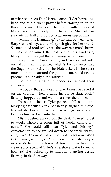of what had been Doc Harris's office. Tyler bowed his head and said a silent prayer before starting in on the thick sandwich. His open display of faith impressed Misty, and she quickly did the same. She cut her sandwich in half and poured a generous cup of milk.

'Mmm, this is amazing,' Tyler said between bites. Surprise lit his eyes, and Misty felt glad for her friend. Seemed good food really was the way to a man's heart.

As he devoured the last bite of his sandwich, Misty noticed he eyed the remaining half of hers.

She pushed it towards him, and he accepted with one of his dazzling smiles. Misty's heart danced like the Sugar Plum Fairy in The Nutcracker. If she spent much more time around the good doctor, she'd need a pacemaker to steady her heartbeat.

The faint ringing of a phone interrupted their conversation.

'Whoops, that's my cell phone. I must have left it on the counter when I came in. I'll be right back.' Brittney hopped up and went to answer the phone.

The second she left, Tyler poured half his milk into Misty's glass with a wink. She nearly laughed out loud. Instead she forced herself to take a huge swig before Brittney hurried back into the room.

Misty pushed away from the desk. 'I need to get to work. There's a room full of books calling my name.' She could still hear Tyler and Brittney's conversation as she walked down to the small library. *Lord, I need You to help me out here. I don't want to make a fool of myself, and I refuse to betray my friend,* she prayed as she started filling boxes. A few minutes later the clean, spicy scent of Tyler's aftershave wafted over to her, and she looked up to find him standing beside Brittney in the doorway.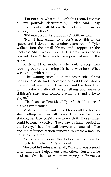'I'm not sure what to do with this room. I receive all my journals electronically,' Tyler said. 'My reference books will fit on the bookcase I plan on putting in my office.'

'It'd make a great storage area,' Brittney said.

'Nah, I hate clutter so I won't need this much space, and I don't need another exam room.' Tyler walked into the small library and stopped at the bookcase Misty was emptying. His brow wrinkled in concentration. 'There has to be a practical use for the space.'

Misty grabbed another dusty book to keep from reaching over and covering his hand with hers. What was wrong with her today?

'The waiting room is on the other side of this partition," Misty said. "A carpenter could knock down the wall between them. Then you could section it off with maybe a half-wall or something and make a children's play area complete with toys and a DVD player.'

'That's an excellent idea.' Tyler flashed her one of his megawatt smiles.

Misty bent down and pulled books off the bottom shelf, letting her hair fall forward to hide the flush staining her face. She'd have to watch it. Those smiles could become addictive. 'I oversaw a similar project at the library. I had the wall between an unused office and the reference section removed to create a nook to house computers.'

'Since you've done this before, would you be willing to lend a hand?" Tyler asked.

She couldn't refuse. After all, Winslow was a small town and folks helped out each other. 'Sure, I'd be glad to.' One look at the storm raging in Brittney's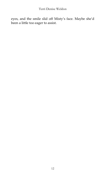eyes, and the smile slid off Misty's face. Maybe she'd been a little too eager to assist.